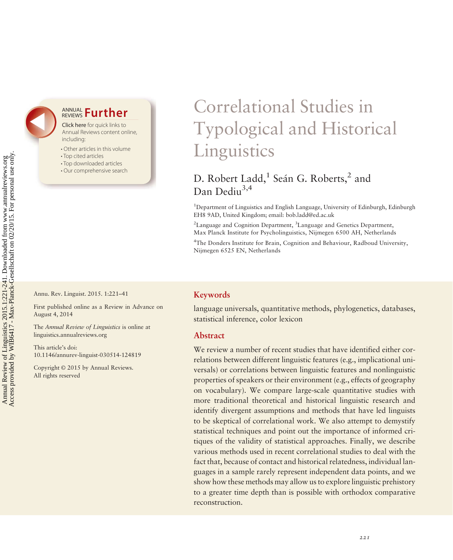## **ANNUAL Further**

Click here for quick links to Annual Reviews content online, including:

- Other articles in this volume
- Top cited articles
- Top downloaded articles
- Our comprehensive search

# Correlational Studies in Typological and Historical **Linguistics**

## D. Robert Ladd,<sup>1</sup> Seán G. Roberts,<sup>2</sup> and Dan Dediu<sup>3,4</sup>

<sup>1</sup>Department of Linguistics and English Language, University of Edinburgh, Edinburgh EH8 9AD, United Kingdom; email: [bob.ladd@ed.ac.uk](mailto:bob.ladd@ed.ac.uk)

<sup>2</sup>Language and Cognition Department, <sup>3</sup>Language and Genetics Department, Max Planck Institute for Psycholinguistics, Nijmegen 6500 AH, Netherlands

<sup>4</sup>The Donders Institute for Brain, Cognition and Behaviour, Radboud University, Nijmegen 6525 EN, Netherlands

Annu. Rev. Linguist. 2015. 1:221–41

First published online as a Review in Advance on August 4, 2014

The Annual Review of Linguistics is online at [linguistics.annualreviews.org](linguist.annualreviews.org)

This article's doi: 10.1146/annurev-linguist-030514-124819

Copyright © 2015 by Annual Reviews. All rights reserved

#### Keywords

language universals, quantitative methods, phylogenetics, databases, statistical inference, color lexicon

#### Abstract

We review a number of recent studies that have identified either correlations between different linguistic features (e.g., implicational universals) or correlations between linguistic features and nonlinguistic properties of speakers or their environment (e.g., effects of geography on vocabulary). We compare large-scale quantitative studies with more traditional theoretical and historical linguistic research and identify divergent assumptions and methods that have led linguists to be skeptical of correlational work. We also attempt to demystify statistical techniques and point out the importance of informed critiques of the validity of statistical approaches. Finally, we describe various methods used in recent correlational studies to deal with the fact that, because of contact and historical relatedness, individual languages in a sample rarely represent independent data points, and we show how these methods may allow us to explore linguistic prehistory to a greater time depth than is possible with orthodox comparative reconstruction.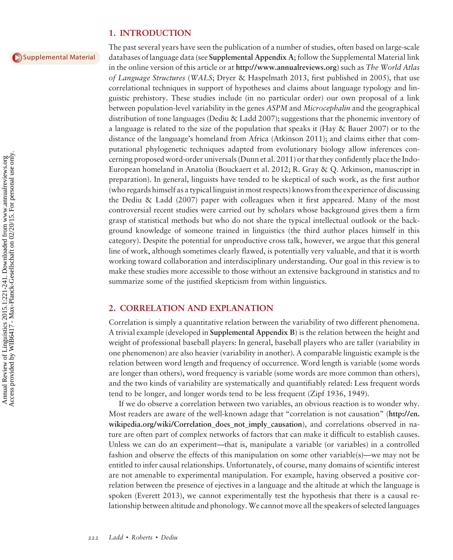#### 1. INTRODUCTION

#### [Supplemental](http://www.annualreviews.org/doi/suppl/10.1146/annurev-linguist-030514-124819) Material

The past several years have seen the publication of a number of studies, often based on large-scale databases of language data (see Supplemental Appendix A; follow the Supplemental Material link in the online version of this article or at [http://www.annualreviews.org](http://www.annualreviews.org/)) such as The World Atlas of Language Structures (WALS; Dryer & Haspelmath 2013, first published in 2005), that use correlational techniques in support of hypotheses and claims about language typology and linguistic prehistory. These studies include (in no particular order) our own proposal of a link between population-level variability in the genes ASPM and Microcephalin and the geographical distribution of tone languages (Dediu & Ladd 2007); suggestions that the phonemic inventory of a language is related to the size of the population that speaks it (Hay  $\&$  Bauer 2007) or to the distance of the language's homeland from Africa (Atkinson 2011); and claims either that computational phylogenetic techniques adapted from evolutionary biology allow inferences concerning proposed word-order universals (Dunn et al. 2011) or that they confidently place the Indo-European homeland in Anatolia (Bouckaert et al. 2012; R. Gray & Q. Atkinson, manuscript in preparation). In general, linguists have tended to be skeptical of such work, as the first author (who regards himself as a typical linguist in most respects) knows from the experience of discussing the Dediu & Ladd (2007) paper with colleagues when it first appeared. Many of the most controversial recent studies were carried out by scholars whose background gives them a firm grasp of statistical methods but who do not share the typical intellectual outlook or the background knowledge of someone trained in linguistics (the third author places himself in this category). Despite the potential for unproductive cross talk, however, we argue that this general line of work, although sometimes clearly flawed, is potentially very valuable, and that it is worth working toward collaboration and interdisciplinary understanding. Our goal in this review is to make these studies more accessible to those without an extensive background in statistics and to summarize some of the justified skepticism from within linguistics.

#### 2. CORRELATION AND EXPLANATION

Correlation is simply a quantitative relation between the variability of two different phenomena. A trivial example (developed in Supplemental Appendix B) is the relation between the height and weight of professional baseball players: In general, baseball players who are taller (variability in one phenomenon) are also heavier (variability in another). A comparable linguistic example is the relation between word length and frequency of occurrence. Word length is variable (some words are longer than others), word frequency is variable (some words are more common than others), and the two kinds of variability are systematically and quantifiably related: Less frequent words tend to be longer, and longer words tend to be less frequent (Zipf 1936, 1949).

If we do observe a correlation between two variables, an obvious reaction is to wonder why. Most readers are aware of the well-known adage that "correlation is not causation" ([http://en.](http://en.wikipedia.org/wiki/Correlation_does_not_imply_causation) [wikipedia.org/wiki/Correlation\\_does\\_not\\_imply\\_causation](http://en.wikipedia.org/wiki/Correlation_does_not_imply_causation)), and correlations observed in nature are often part of complex networks of factors that can make it difficult to establish causes. Unless we can do an experiment—that is, manipulate a variable (or variables) in a controlled fashion and observe the effects of this manipulation on some other variable(s)—we may not be entitled to infer causal relationships. Unfortunately, of course, many domains of scientific interest are not amenable to experimental manipulation. For example, having observed a positive correlation between the presence of ejectives in a language and the altitude at which the language is spoken (Everett 2013), we cannot experimentally test the hypothesis that there is a causal relationship between altitude and phonology. We cannot move all the speakers of selected languages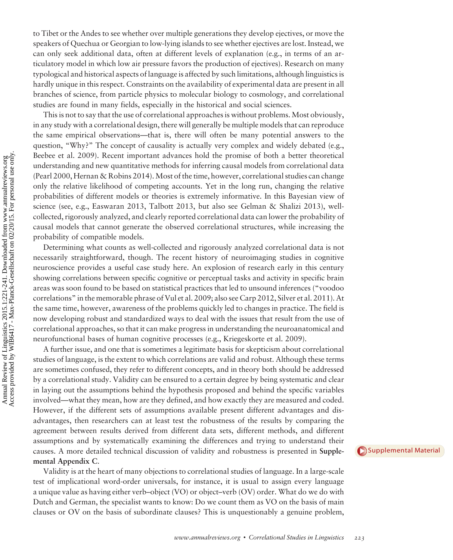to Tibet or the Andes to see whether over multiple generations they develop ejectives, or move the speakers of Quechua or Georgian to low-lying islands to see whether ejectives are lost. Instead, we can only seek additional data, often at different levels of explanation (e.g., in terms of an articulatory model in which low air pressure favors the production of ejectives). Research on many typological and historical aspects of language is affected by such limitations, although linguistics is hardly unique in this respect. Constraints on the availability of experimental data are present in all branches of science, from particle physics to molecular biology to cosmology, and correlational studies are found in many fields, especially in the historical and social sciences.

This is not to say that the use of correlational approaches is without problems. Most obviously, in any study with a correlational design, there will generally be multiple models that can reproduce the same empirical observations—that is, there will often be many potential answers to the question, "Why?" The concept of causality is actually very complex and widely debated (e.g., Beebee et al. 2009). Recent important advances hold the promise of both a better theoretical understanding and new quantitative methods for inferring causal models from correlational data (Pearl 2000, Hernan & Robins 2014). Most of the time, however, correlational studies can change only the relative likelihood of competing accounts. Yet in the long run, changing the relative probabilities of different models or theories is extremely informative. In this Bayesian view of science (see, e.g., Easwaran 2013, Talbott 2013, but also see Gelman & Shalizi 2013), wellcollected, rigorously analyzed, and clearly reported correlational data can lower the probability of causal models that cannot generate the observed correlational structures, while increasing the probability of compatible models.

Determining what counts as well-collected and rigorously analyzed correlational data is not necessarily straightforward, though. The recent history of neuroimaging studies in cognitive neuroscience provides a useful case study here. An explosion of research early in this century showing correlations between specific cognitive or perceptual tasks and activity in specific brain areas was soon found to be based on statistical practices that led to unsound inferences ("voodoo correlations" in the memorable phrase of Vul et al. 2009; also see Carp 2012, Silver et al. 2011). At the same time, however, awareness of the problems quickly led to changes in practice. The field is now developing robust and standardized ways to deal with the issues that result from the use of correlational approaches, so that it can make progress in understanding the neuroanatomical and neurofunctional bases of human cognitive processes (e.g., Kriegeskorte et al. 2009).

A further issue, and one that is sometimes a legitimate basis for skepticism about correlational studies of language, is the extent to which correlations are valid and robust. Although these terms are sometimes confused, they refer to different concepts, and in theory both should be addressed by a correlational study. Validity can be ensured to a certain degree by being systematic and clear in laying out the assumptions behind the hypothesis proposed and behind the specific variables involved—what they mean, how are they defined, and how exactly they are measured and coded. However, if the different sets of assumptions available present different advantages and disadvantages, then researchers can at least test the robustness of the results by comparing the agreement between results derived from different data sets, different methods, and different assumptions and by systematically examining the differences and trying to understand their causes. A more detailed technical discussion of validity and robustness is presented in Supplemental Appendix C.

Validity is at the heart of many objections to correlational studies of language. In a large-scale test of implicational word-order universals, for instance, it is usual to assign every language a unique value as having either verb–object (VO) or object–verb (OV) order. What do we do with Dutch and German, the specialist wants to know: Do we count them as VO on the basis of main clauses or OV on the basis of subordinate clauses? This is unquestionably a genuine problem,

#### [Supplemental](http://www.annualreviews.org/doi/suppl/10.1146/annurev-linguist-030514-124819) Material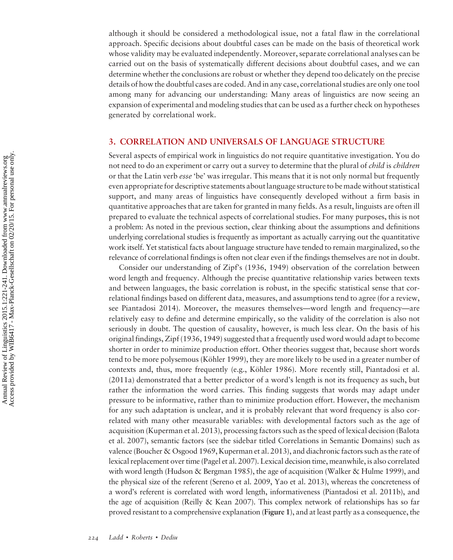although it should be considered a methodological issue, not a fatal flaw in the correlational approach. Specific decisions about doubtful cases can be made on the basis of theoretical work whose validity may be evaluated independently. Moreover, separate correlational analyses can be carried out on the basis of systematically different decisions about doubtful cases, and we can determine whether the conclusions are robust or whether they depend too delicately on the precise details of how the doubtful cases are coded. And in any case, correlational studies are only one tool among many for advancing our understanding: Many areas of linguistics are now seeing an expansion of experimental and modeling studies that can be used as a further check on hypotheses generated by correlational work.

#### 3. CORRELATION AND UNIVERSALS OF LANGUAGE STRUCTURE

Several aspects of empirical work in linguistics do not require quantitative investigation. You do not need to do an experiment or carry out a survey to determine that the plural of *child* is *children* or that the Latin verb esse 'be' was irregular. This means that it is not only normal but frequently even appropriate for descriptive statements about language structure to be made without statistical support, and many areas of linguistics have consequently developed without a firm basis in quantitative approaches that are taken for granted in many fields. As a result, linguists are often ill prepared to evaluate the technical aspects of correlational studies. For many purposes, this is not a problem: As noted in the previous section, clear thinking about the assumptions and definitions underlying correlational studies is frequently as important as actually carrying out the quantitative work itself. Yet statistical facts about language structure have tended to remain marginalized, so the relevance of correlational findings is often not clear even if the findings themselves are not in doubt.

Consider our understanding of Zipf's (1936, 1949) observation of the correlation between word length and frequency. Although the precise quantitative relationship varies between texts and between languages, the basic correlation is robust, in the specific statistical sense that correlational findings based on different data, measures, and assumptions tend to agree (for a review, see Piantadosi 2014). Moreover, the measures themselves—word length and frequency—are relatively easy to define and determine empirically, so the validity of the correlation is also not seriously in doubt. The question of causality, however, is much less clear. On the basis of his original findings, Zipf (1936, 1949) suggested that a frequently used word would adapt to become shorter in order to minimize production effort. Other theories suggest that, because short words tend to be more polysemous (Köhler 1999), they are more likely to be used in a greater number of contexts and, thus, more frequently (e.g., Köhler 1986). More recently still, Piantadosi et al. (2011a) demonstrated that a better predictor of a word's length is not its frequency as such, but rather the information the word carries. This finding suggests that words may adapt under pressure to be informative, rather than to minimize production effort. However, the mechanism for any such adaptation is unclear, and it is probably relevant that word frequency is also correlated with many other measurable variables: with developmental factors such as the age of acquisition (Kuperman et al. 2013), processing factors such as the speed of lexical decision (Balota et al. 2007), semantic factors (see the sidebar titled Correlations in Semantic Domains) such as valence (Boucher & Osgood 1969, Kuperman et al. 2013), and diachronic factors such as the rate of lexical replacement over time (Pagel et al. 2007). Lexical decision time, meanwhile, is also correlated with word length (Hudson & Bergman 1985), the age of acquisition (Walker & Hulme 1999), and the physical size of the referent (Sereno et al. 2009, Yao et al. 2013), whereas the concreteness of a word's referent is correlated with word length, informativeness (Piantadosi et al. 2011b), and the age of acquisition (Reilly & Kean 2007). This complex network of relationships has so far proved resistant to a comprehensive explanation (Figure 1), and at least partly as a consequence, the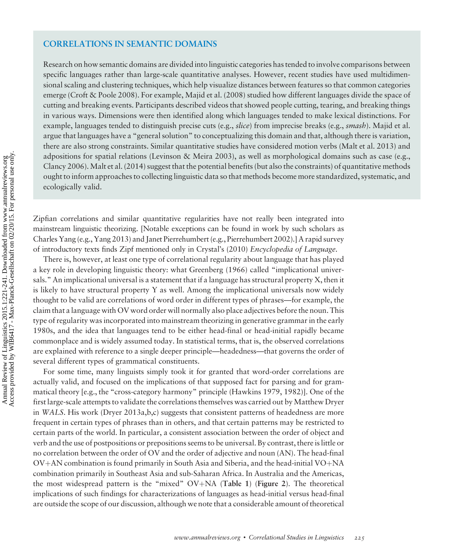#### CORRELATIONS IN SEMANTIC DOMAINS

Research on how semantic domains are divided into linguistic categories has tended to involve comparisons between specific languages rather than large-scale quantitative analyses. However, recent studies have used multidimensional scaling and clustering techniques, which help visualize distances between features so that common categories emerge (Croft & Poole 2008). For example, Majid et al. (2008) studied how different languages divide the space of cutting and breaking events. Participants described videos that showed people cutting, tearing, and breaking things in various ways. Dimensions were then identified along which languages tended to make lexical distinctions. For example, languages tended to distinguish precise cuts (e.g., *slice*) from imprecise breaks (e.g., *smash*). Majid et al. argue that languages have a "general solution" to conceptualizing this domain and that, although there is variation, there are also strong constraints. Similar quantitative studies have considered motion verbs (Malt et al. 2013) and adpositions for spatial relations (Levinson & Meira 2003), as well as morphological domains such as case (e.g., Clancy 2006). Malt et al. (2014) suggest that the potential benefits (but also the constraints) of quantitative methods ought to inform approaches to collecting linguistic data so that methods become more standardized, systematic, and ecologically valid.

Zipfian correlations and similar quantitative regularities have not really been integrated into mainstream linguistic theorizing. [Notable exceptions can be found in work by such scholars as Charles Yang (e.g., Yang 2013) and Janet Pierrehumbert (e.g., Pierrehumbert 2002).] A rapid survey of introductory texts finds Zipf mentioned only in Crystal's (2010) Encyclopedia of Language.

There is, however, at least one type of correlational regularity about language that has played a key role in developing linguistic theory: what Greenberg (1966) called "implicational universals." An implicational universal is a statement that if a language has structural property X, then it is likely to have structural property Y as well. Among the implicational universals now widely thought to be valid are correlations of word order in different types of phrases—for example, the claim that a language with OV word order will normally also place adjectives before the noun. This type of regularity was incorporated into mainstream theorizing in generative grammar in the early 1980s, and the idea that languages tend to be either head-final or head-initial rapidly became commonplace and is widely assumed today. In statistical terms, that is, the observed correlations are explained with reference to a single deeper principle—headedness—that governs the order of several different types of grammatical constituents.

For some time, many linguists simply took it for granted that word-order correlations are actually valid, and focused on the implications of that supposed fact for parsing and for grammatical theory [e.g., the "cross-category harmony" principle (Hawkins 1979, 1982)]. One of the first large-scale attempts to validate the correlations themselves was carried out by Matthew Dryer in WALS. His work (Dryer 2013a,b,c) suggests that consistent patterns of headedness are more frequent in certain types of phrases than in others, and that certain patterns may be restricted to certain parts of the world. In particular, a consistent association between the order of object and verb and the use of postpositions or prepositions seems to be universal. By contrast, there is little or no correlation between the order of OV and the order of adjective and noun (AN). The head-final  $OV+AN$  combination is found primarily in South Asia and Siberia, and the head-initial  $VO+NA$ combination primarily in Southeast Asia and sub-Saharan Africa. In Australia and the Americas, the most widespread pattern is the "mixed"  $OV+NA$  (Table 1) (Figure 2). The theoretical implications of such findings for characterizations of languages as head-initial versus head-final are outside the scope of our discussion, although we note that a considerable amount of theoretical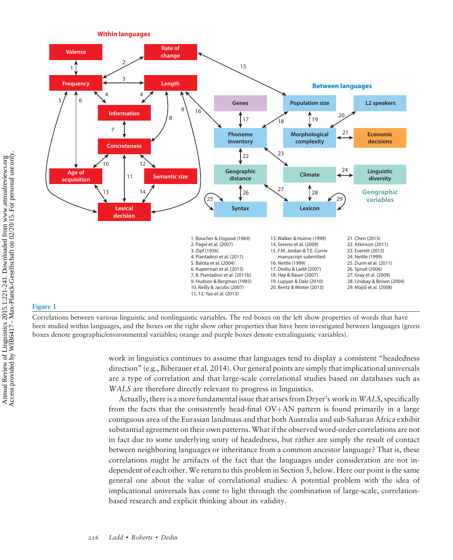

#### Figure 1

Correlations between various linguistic and nonlinguistic variables. The red boxes on the left show properties of words that have been studied within languages, and the boxes on the right show other properties that have been investigated between languages (green boxes denote geographic/environmental variables; orange and purple boxes denote extralinguistic variables).

work in linguistics continues to assume that languages tend to display a consistent "headedness direction" (e.g., Biberauer et al. 2014). Our general points are simply that implicational universals are a type of correlation and that large-scale correlational studies based on databases such as WALS are therefore directly relevant to progress in linguistics.

Actually, there is a more fundamental issue that arises from Dryer's work in WALS, specifically from the facts that the consistently head-final  $OV+AN$  pattern is found primarily in a large contiguous area of the Eurasian landmass and that both Australia and sub-Saharan Africa exhibit substantial agreement on their own patterns. What if the observed word-order correlations are not in fact due to some underlying unity of headedness, but rather are simply the result of contact between neighboring languages or inheritance from a common ancestor language? That is, these correlations might be artifacts of the fact that the languages under consideration are not independent of each other. We return to this problem in Section 5, below. Here our point is the same general one about the value of correlational studies: A potential problem with the idea of implicational universals has come to light through the combination of large-scale, correlationbased research and explicit thinking about its validity.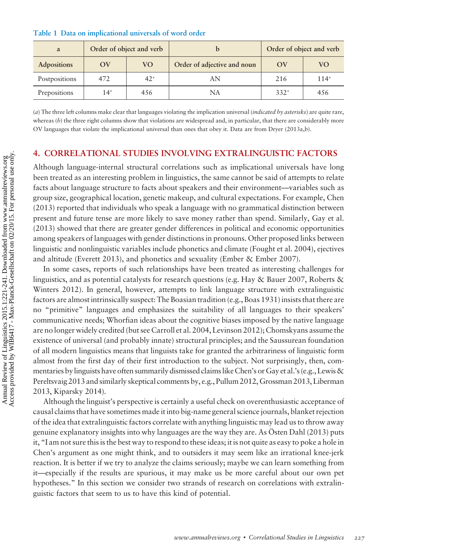Table 1 Data on implicational universals of word order

| a                  | Order of object and verb      |       | <sub>b</sub>                | Order of object and verb |        |
|--------------------|-------------------------------|-------|-----------------------------|--------------------------|--------|
| <b>Adpositions</b> | $\overline{\text{O}}\text{V}$ | VO.   | Order of adjective and noun | O <sub>V</sub>           | VO     |
| Postpositions      | 472                           | $42*$ | ΑN                          | 216                      | $114*$ |
| Prepositions       | $14*$                         | 456   | NA                          | $332*$                   | 456    |

(a) The three left columns make clear that languages violating the implication universal *(indicated by asterisks)* are quite rare, whereas  $(b)$  the three right columns show that violations are widespread and, in particular, that there are considerably more OV languages that violate the implicational universal than ones that obey it. Data are from Dryer (2013a,b).

#### 4. CORRELATIONAL STUDIES INVOLVING EXTRALINGUISTIC FACTORS

Although language-internal structural correlations such as implicational universals have long been treated as an interesting problem in linguistics, the same cannot be said of attempts to relate facts about language structure to facts about speakers and their environment—variables such as group size, geographical location, genetic makeup, and cultural expectations. For example, Chen (2013) reported that individuals who speak a language with no grammatical distinction between present and future tense are more likely to save money rather than spend. Similarly, Gay et al. (2013) showed that there are greater gender differences in political and economic opportunities among speakers of languages with gender distinctions in pronouns. Other proposed links between linguistic and nonlinguistic variables include phonetics and climate (Fought et al. 2004), ejectives and altitude (Everett 2013), and phonetics and sexuality (Ember & Ember 2007).

In some cases, reports of such relationships have been treated as interesting challenges for linguistics, and as potential catalysts for research questions (e.g. Hay & Bauer 2007, Roberts & Winters 2012). In general, however, attempts to link language structure with extralinguistic factors are almost intrinsically suspect: The Boasian tradition (e.g., Boas 1931) insists that there are no "primitive" languages and emphasizes the suitability of all languages to their speakers' communicative needs; Whorfian ideas about the cognitive biases imposed by the native language are no longer widely credited (but see Carroll et al. 2004, Levinson 2012); Chomskyans assume the existence of universal (and probably innate) structural principles; and the Saussurean foundation of all modern linguistics means that linguists take for granted the arbitrariness of linguistic form almost from the first day of their first introduction to the subject. Not surprisingly, then, commentaries by linguists have often summarily dismissed claims like Chen's or Gay et al.'s (e.g., Lewis & Pereltsvaig 2013 and similarly skeptical comments by, e.g., Pullum 2012, Grossman 2013, Liberman 2013, Kiparsky 2014).

Although the linguist's perspective is certainly a useful check on overenthusiastic acceptance of causal claims that have sometimes made it into big-name general science journals, blanket rejection of the idea that extralinguistic factors correlate with anything linguistic may lead us to throw away genuine explanatory insights into why languages are the way they are. As Östen Dahl (2013) puts it, "I am not sure this is the best way to respond to these ideas; it is not quite as easy to poke a hole in Chen's argument as one might think, and to outsiders it may seem like an irrational knee-jerk reaction. It is better if we try to analyze the claims seriously; maybe we can learn something from it—especially if the results are spurious, it may make us be more careful about our own pet hypotheses." In this section we consider two strands of research on correlations with extralinguistic factors that seem to us to have this kind of potential.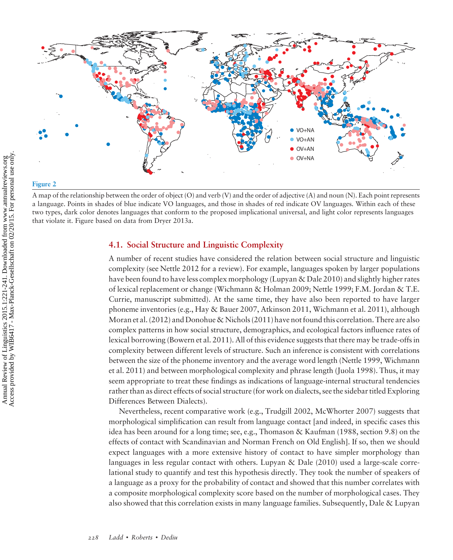

### Figure 2

A map of the relationship between the order of object (O) and verb (V) and the order of adjective (A) and noun (N). Each point represents a language. Points in shades of blue indicate VO languages, and those in shades of red indicate OV languages. Within each of these two types, dark color denotes languages that conform to the proposed implicational universal, and light color represents languages that violate it. Figure based on data from Dryer 2013a.

#### 4.1. Social Structure and Linguistic Complexity

A number of recent studies have considered the relation between social structure and linguistic complexity (see Nettle 2012 for a review). For example, languages spoken by larger populations have been found to have less complex morphology (Lupyan & Dale 2010) and slightly higher rates of lexical replacement or change (Wichmann & Holman 2009; Nettle 1999; F.M. Jordan & T.E. Currie, manuscript submitted). At the same time, they have also been reported to have larger phoneme inventories (e.g., Hay & Bauer 2007, Atkinson 2011, Wichmann et al. 2011), although Moran et al. (2012) and Donohue & Nichols (2011) have not found this correlation. There are also complex patterns in how social structure, demographics, and ecological factors influence rates of lexical borrowing (Bowern et al. 2011). All of this evidence suggests that there may be trade-offs in complexity between different levels of structure. Such an inference is consistent with correlations between the size of the phoneme inventory and the average word length (Nettle 1999, Wichmann et al. 2011) and between morphological complexity and phrase length (Juola 1998). Thus, it may seem appropriate to treat these findings as indications of language-internal structural tendencies rather than as direct effects of social structure (for work on dialects, see the sidebar titled Exploring Differences Between Dialects).

Nevertheless, recent comparative work (e.g., Trudgill 2002, McWhorter 2007) suggests that morphological simplification can result from language contact [and indeed, in specific cases this idea has been around for a long time; see, e.g., Thomason & Kaufman (1988, section 9.8) on the effects of contact with Scandinavian and Norman French on Old English]. If so, then we should expect languages with a more extensive history of contact to have simpler morphology than languages in less regular contact with others. Lupyan & Dale (2010) used a large-scale correlational study to quantify and test this hypothesis directly. They took the number of speakers of a language as a proxy for the probability of contact and showed that this number correlates with a composite morphological complexity score based on the number of morphological cases. They also showed that this correlation exists in many language families. Subsequently, Dale & Lupyan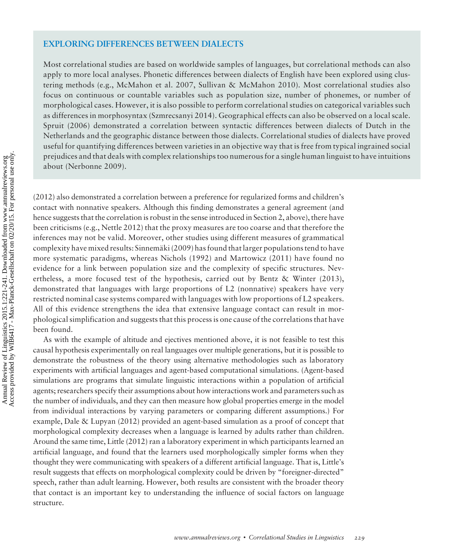#### EXPLORING DIFFERENCES BETWEEN DIALECTS

Most correlational studies are based on worldwide samples of languages, but correlational methods can also apply to more local analyses. Phonetic differences between dialects of English have been explored using clustering methods (e.g., McMahon et al. 2007, Sullivan & McMahon 2010). Most correlational studies also focus on continuous or countable variables such as population size, number of phonemes, or number of morphological cases. However, it is also possible to perform correlational studies on categorical variables such as differences in morphosyntax (Szmrecsanyi 2014). Geographical effects can also be observed on a local scale. Spruit (2006) demonstrated a correlation between syntactic differences between dialects of Dutch in the Netherlands and the geographic distance between those dialects. Correlational studies of dialects have proved useful for quantifying differences between varieties in an objective way that is free from typical ingrained social prejudices and that deals with complex relationships too numerous for a single human linguist to have intuitions about (Nerbonne 2009).

(2012) also demonstrated a correlation between a preference for regularized forms and children's contact with nonnative speakers. Although this finding demonstrates a general agreement (and hence suggests that the correlation is robust in the sense introduced in Section 2, above), there have been criticisms (e.g., Nettle 2012) that the proxy measures are too coarse and that therefore the inferences may not be valid. Moreover, other studies using different measures of grammatical complexity have mixed results: Sinnemäki (2009) has found that larger populations tend to have more systematic paradigms, whereas Nichols (1992) and Martowicz (2011) have found no evidence for a link between population size and the complexity of specific structures. Nevertheless, a more focused test of the hypothesis, carried out by Bentz & Winter (2013), demonstrated that languages with large proportions of L2 (nonnative) speakers have very restricted nominal case systems compared with languages with low proportions of L2 speakers. All of this evidence strengthens the idea that extensive language contact can result in morphological simplification and suggests that this process is one cause of the correlations that have been found.

As with the example of altitude and ejectives mentioned above, it is not feasible to test this causal hypothesis experimentally on real languages over multiple generations, but it is possible to demonstrate the robustness of the theory using alternative methodologies such as laboratory experiments with artificial languages and agent-based computational simulations. (Agent-based simulations are programs that simulate linguistic interactions within a population of artificial agents; researchers specify their assumptions about how interactions work and parameters such as the number of individuals, and they can then measure how global properties emerge in the model from individual interactions by varying parameters or comparing different assumptions.) For example, Dale & Lupyan (2012) provided an agent-based simulation as a proof of concept that morphological complexity decreases when a language is learned by adults rather than children. Around the same time, Little (2012) ran a laboratory experiment in which participants learned an artificial language, and found that the learners used morphologically simpler forms when they thought they were communicating with speakers of a different artificial language. That is, Little's result suggests that effects on morphological complexity could be driven by "foreigner-directed" speech, rather than adult learning. However, both results are consistent with the broader theory that contact is an important key to understanding the influence of social factors on language structure.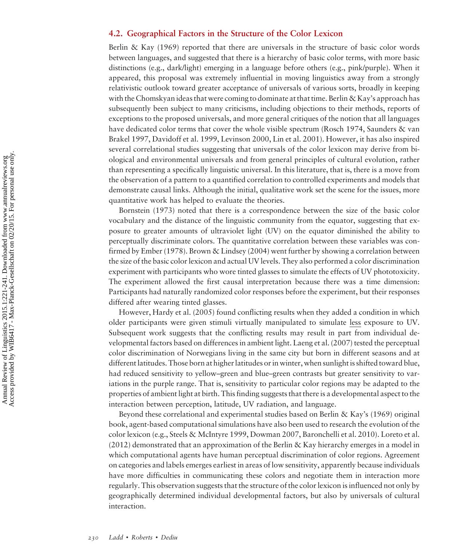#### 4.2. Geographical Factors in the Structure of the Color Lexicon

Berlin & Kay (1969) reported that there are universals in the structure of basic color words between languages, and suggested that there is a hierarchy of basic color terms, with more basic distinctions (e.g., dark/light) emerging in a language before others (e.g., pink/purple). When it appeared, this proposal was extremely influential in moving linguistics away from a strongly relativistic outlook toward greater acceptance of universals of various sorts, broadly in keeping with the Chomskyan ideas that were coming to dominate at that time. Berlin & Kay's approach has subsequently been subject to many criticisms, including objections to their methods, reports of exceptions to the proposed universals, and more general critiques of the notion that all languages have dedicated color terms that cover the whole visible spectrum (Rosch 1974, Saunders & van Brakel 1997, Davidoff et al. 1999, Levinson 2000, Lin et al. 2001). However, it has also inspired several correlational studies suggesting that universals of the color lexicon may derive from biological and environmental universals and from general principles of cultural evolution, rather than representing a specifically linguistic universal. In this literature, that is, there is a move from the observation of a pattern to a quantified correlation to controlled experiments and models that demonstrate causal links. Although the initial, qualitative work set the scene for the issues, more quantitative work has helped to evaluate the theories.

Bornstein (1973) noted that there is a correspondence between the size of the basic color vocabulary and the distance of the linguistic community from the equator, suggesting that exposure to greater amounts of ultraviolet light (UV) on the equator diminished the ability to perceptually discriminate colors. The quantitative correlation between these variables was confirmed by Ember (1978). Brown & Lindsey (2004) went further by showing a correlation between the size of the basic color lexicon and actual UV levels. They also performed a color discrimination experiment with participants who wore tinted glasses to simulate the effects of UV phototoxicity. The experiment allowed the first causal interpretation because there was a time dimension: Participants had naturally randomized color responses before the experiment, but their responses differed after wearing tinted glasses.

However, Hardy et al. (2005) found conflicting results when they added a condition in which older participants were given stimuli virtually manipulated to simulate less exposure to UV. Subsequent work suggests that the conflicting results may result in part from individual developmental factors based on differences in ambient light. Laeng et al. (2007) tested the perceptual color discrimination of Norwegians living in the same city but born in different seasons and at different latitudes. Those born at higher latitudes or in winter, when sunlight is shifted toward blue, had reduced sensitivity to yellow–green and blue–green contrasts but greater sensitivity to variations in the purple range. That is, sensitivity to particular color regions may be adapted to the properties of ambient light at birth. This finding suggests that there is a developmental aspect to the interaction between perception, latitude, UV radiation, and language.

Beyond these correlational and experimental studies based on Berlin & Kay's (1969) original book, agent-based computational simulations have also been used to research the evolution of the color lexicon (e.g., Steels & McIntyre 1999, Dowman 2007, Baronchelli et al. 2010). Loreto et al. (2012) demonstrated that an approximation of the Berlin & Kay hierarchy emerges in a model in which computational agents have human perceptual discrimination of color regions. Agreement on categories and labels emerges earliest in areas of low sensitivity, apparently because individuals have more difficulties in communicating these colors and negotiate them in interaction more regularly. This observation suggests that the structure of the color lexicon is influenced not only by geographically determined individual developmental factors, but also by universals of cultural interaction.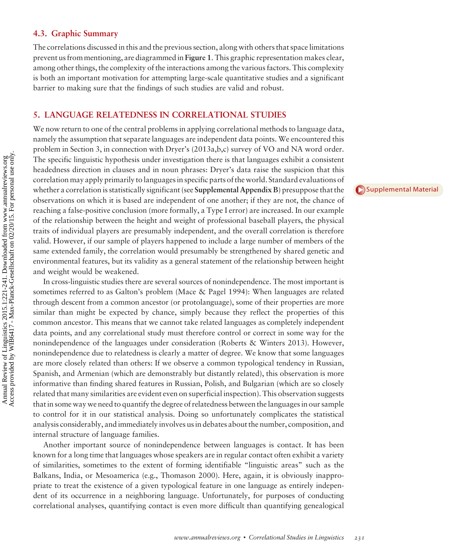#### 4.3. Graphic Summary

The correlations discussed in this and the previous section, along with others that space limitations prevent us from mentioning, are diagrammed in Figure 1. This graphic representation makes clear, among other things, the complexity of the interactions among the various factors. This complexity is both an important motivation for attempting large-scale quantitative studies and a significant barrier to making sure that the findings of such studies are valid and robust.

#### 5. LANGUAGE RELATEDNESS IN CORRELATIONAL STUDIES

We now return to one of the central problems in applying correlational methods to language data, namely the assumption that separate languages are independent data points. We encountered this problem in Section 3, in connection with Dryer's (2013a,b,c) survey of VO and NA word order. The specific linguistic hypothesis under investigation there is that languages exhibit a consistent headedness direction in clauses and in noun phrases: Dryer's data raise the suspicion that this correlation may apply primarily to languages in specific parts of the world. Standard evaluations of whether a correlation is statistically significant (see Supplemental Appendix B) presuppose that the observations on which it is based are independent of one another; if they are not, the chance of reaching a false-positive conclusion (more formally, a Type I error) are increased. In our example of the relationship between the height and weight of professional baseball players, the physical traits of individual players are presumably independent, and the overall correlation is therefore valid. However, if our sample of players happened to include a large number of members of the same extended family, the correlation would presumably be strengthened by shared genetic and environmental features, but its validity as a general statement of the relationship between height and weight would be weakened.

In cross-linguistic studies there are several sources of nonindependence. The most important is sometimes referred to as Galton's problem (Mace & Pagel 1994): When languages are related through descent from a common ancestor (or protolanguage), some of their properties are more similar than might be expected by chance, simply because they reflect the properties of this common ancestor. This means that we cannot take related languages as completely independent data points, and any correlational study must therefore control or correct in some way for the nonindependence of the languages under consideration (Roberts & Winters 2013). However, nonindependence due to relatedness is clearly a matter of degree. We know that some languages are more closely related than others: If we observe a common typological tendency in Russian, Spanish, and Armenian (which are demonstrably but distantly related), this observation is more informative than finding shared features in Russian, Polish, and Bulgarian (which are so closely related that many similarities are evident even on superficial inspection). This observation suggests that in some way we need to quantify the degree of relatedness between the languages in our sample to control for it in our statistical analysis. Doing so unfortunately complicates the statistical analysis considerably, and immediately involves us in debates about the number, composition, and internal structure of language families.

Another important source of nonindependence between languages is contact. It has been known for a long time that languages whose speakers are in regular contact often exhibit a variety of similarities, sometimes to the extent of forming identifiable "linguistic areas" such as the Balkans, India, or Mesoamerica (e.g., Thomason 2000). Here, again, it is obviously inappropriate to treat the existence of a given typological feature in one language as entirely independent of its occurrence in a neighboring language. Unfortunately, for purposes of conducting correlational analyses, quantifying contact is even more difficult than quantifying genealogical [Supplemental](http://www.annualreviews.org/doi/suppl/10.1146/annurev-linguist-030514-124819) Material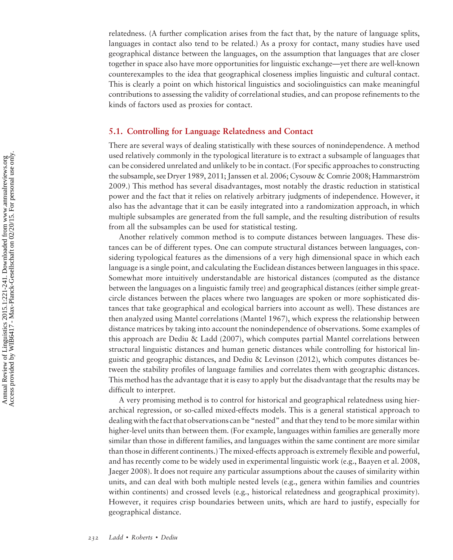relatedness. (A further complication arises from the fact that, by the nature of language splits, languages in contact also tend to be related.) As a proxy for contact, many studies have used geographical distance between the languages, on the assumption that languages that are closer together in space also have more opportunities for linguistic exchange—yet there are well-known counterexamples to the idea that geographical closeness implies linguistic and cultural contact. This is clearly a point on which historical linguistics and sociolinguistics can make meaningful contributions to assessing the validity of correlational studies, and can propose refinements to the kinds of factors used as proxies for contact.

#### 5.1. Controlling for Language Relatedness and Contact

There are several ways of dealing statistically with these sources of nonindependence. A method used relatively commonly in the typological literature is to extract a subsample of languages that can be considered unrelated and unlikely to be in contact. (For specific approaches to constructing the subsample, see Dryer 1989, 2011; Janssen et al. 2006; Cysouw & Comrie 2008; Hammarström 2009.) This method has several disadvantages, most notably the drastic reduction in statistical power and the fact that it relies on relatively arbitrary judgments of independence. However, it also has the advantage that it can be easily integrated into a randomization approach, in which multiple subsamples are generated from the full sample, and the resulting distribution of results from all the subsamples can be used for statistical testing.

Another relatively common method is to compute distances between languages. These distances can be of different types. One can compute structural distances between languages, considering typological features as the dimensions of a very high dimensional space in which each language is a single point, and calculating the Euclidean distances between languages in this space. Somewhat more intuitively understandable are historical distances (computed as the distance between the languages on a linguistic family tree) and geographical distances (either simple greatcircle distances between the places where two languages are spoken or more sophisticated distances that take geographical and ecological barriers into account as well). These distances are then analyzed using Mantel correlations (Mantel 1967), which express the relationship between distance matrices by taking into account the nonindependence of observations. Some examples of this approach are Dediu & Ladd (2007), which computes partial Mantel correlations between structural linguistic distances and human genetic distances while controlling for historical linguistic and geographic distances, and Dediu & Levinson (2012), which computes distances between the stability profiles of language families and correlates them with geographic distances. This method has the advantage that it is easy to apply but the disadvantage that the results may be difficult to interpret.

A very promising method is to control for historical and geographical relatedness using hierarchical regression, or so-called mixed-effects models. This is a general statistical approach to dealing with the fact that observations can be "nested" and that they tend to be more similar within higher-level units than between them. (For example, languages within families are generally more similar than those in different families, and languages within the same continent are more similar than those in different continents.) The mixed-effects approach is extremely flexible and powerful, and has recently come to be widely used in experimental linguistic work (e.g., Baayen et al. 2008, Jaeger 2008). It does not require any particular assumptions about the causes of similarity within units, and can deal with both multiple nested levels (e.g., genera within families and countries within continents) and crossed levels (e.g., historical relatedness and geographical proximity). However, it requires crisp boundaries between units, which are hard to justify, especially for geographical distance.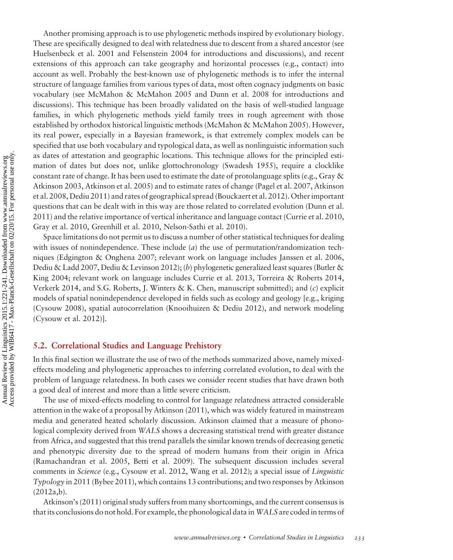Another promising approach is to use phylogenetic methods inspired by evolutionary biology. These are specifically designed to deal with relatedness due to descent from a shared ancestor (see Huelsenbeck et al. 2001 and Felsenstein 2004 for introductions and discussions), and recent extensions of this approach can take geography and horizontal processes (e.g., contact) into account as well. Probably the best-known use of phylogenetic methods is to infer the internal structure of language families from various types of data, most often cognacy judgments on basic vocabulary (see McMahon & McMahon 2005 and Dunn et al. 2008 for introductions and discussions). This technique has been broadly validated on the basis of well-studied language families, in which phylogenetic methods yield family trees in rough agreement with those established by orthodox historical linguistic methods (McMahon & McMahon 2005). However, its real power, especially in a Bayesian framework, is that extremely complex models can be specified that use both vocabulary and typological data, as well as nonlinguistic information such as dates of attestation and geographic locations. This technique allows for the principled estimation of dates but does not, unlike glottochronology (Swadesh 1955), require a clocklike constant rate of change. It has been used to estimate the date of protolanguage splits (e.g., Gray & Atkinson 2003, Atkinson et al. 2005) and to estimate rates of change (Pagel et al. 2007, Atkinson et al. 2008, Dediu 2011) and rates of geographical spread (Bouckaert et al. 2012). Other important questions that can be dealt with in this way are those related to correlated evolution (Dunn et al. 2011) and the relative importance of vertical inheritance and language contact (Currie et al. 2010, Gray et al. 2010, Greenhill et al. 2010, Nelson-Sathi et al. 2010).

Space limitations do not permit us to discuss a number of other statistical techniques for dealing with issues of nonindependence. These include  $(a)$  the use of permutation/randomization techniques (Edgington & Onghena 2007; relevant work on language includes Janssen et al. 2006, Dediu & Ladd 2007, Dediu & Levinson 2012); (b) phylogenetic generalized least squares (Butler & King 2004; relevant work on language includes Currie et al. 2013, Torreira & Roberts 2014, Verkerk 2014, and S.G. Roberts, J. Winters & K. Chen, manuscript submitted); and  $(c)$  explicit models of spatial nonindependence developed in fields such as ecology and geology [e.g., kriging (Cysouw 2008), spatial autocorrelation (Knooihuizen & Dediu 2012), and network modeling (Cysouw et al. 2012)].

#### 5.2. Correlational Studies and Language Prehistory

In this final section we illustrate the use of two of the methods summarized above, namely mixedeffects modeling and phylogenetic approaches to inferring correlated evolution, to deal with the problem of language relatedness. In both cases we consider recent studies that have drawn both a good deal of interest and more than a little severe criticism.

The use of mixed-effects modeling to control for language relatedness attracted considerable attention in the wake of a proposal by Atkinson (2011), which was widely featured in mainstream media and generated heated scholarly discussion. Atkinson claimed that a measure of phonological complexity derived from WALS shows a decreasing statistical trend with greater distance from Africa, and suggested that this trend parallels the similar known trends of decreasing genetic and phenotypic diversity due to the spread of modern humans from their origin in Africa (Ramachandran et al. 2005, Betti et al. 2009). The subsequent discussion includes several comments in *Science* (e.g., Cysouw et al. 2012, Wang et al. 2012); a special issue of *Linguistic* Typology in 2011 (Bybee 2011), which contains 13 contributions; and two responses by Atkinson (2012a,b).

Atkinson's (2011) original study suffers from many shortcomings, and the current consensus is that its conclusions do not hold. For example, the phonological data in WALS are coded in terms of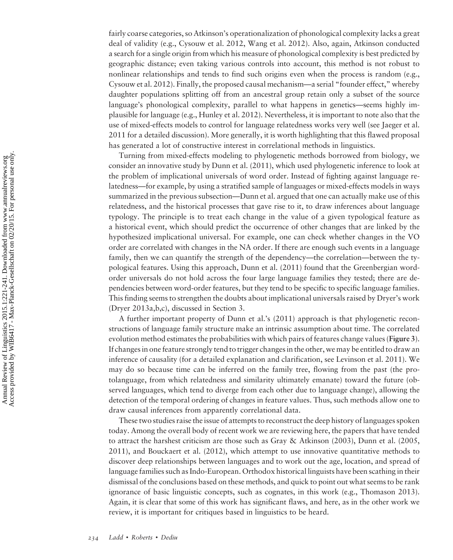fairly coarse categories, so Atkinson's operationalization of phonological complexity lacks a great deal of validity (e.g., Cysouw et al. 2012, Wang et al. 2012). Also, again, Atkinson conducted a search for a single origin from which his measure of phonological complexity is best predicted by geographic distance; even taking various controls into account, this method is not robust to nonlinear relationships and tends to find such origins even when the process is random (e.g., Cysouw et al. 2012). Finally, the proposed causal mechanism—a serial "founder effect," whereby daughter populations splitting off from an ancestral group retain only a subset of the source language's phonological complexity, parallel to what happens in genetics—seems highly implausible for language (e.g., Hunley et al. 2012). Nevertheless, it is important to note also that the use of mixed-effects models to control for language relatedness works very well (see Jaeger et al. 2011 for a detailed discussion). More generally, it is worth highlighting that this flawed proposal has generated a lot of constructive interest in correlational methods in linguistics.

Turning from mixed-effects modeling to phylogenetic methods borrowed from biology, we consider an innovative study by Dunn et al. (2011), which used phylogenetic inference to look at the problem of implicational universals of word order. Instead of fighting against language relatedness—for example, by using a stratified sample of languages or mixed-effects models in ways summarized in the previous subsection—Dunn et al. argued that one can actually make use of this relatedness, and the historical processes that gave rise to it, to draw inferences about language typology. The principle is to treat each change in the value of a given typological feature as a historical event, which should predict the occurrence of other changes that are linked by the hypothesized implicational universal. For example, one can check whether changes in the VO order are correlated with changes in the NA order. If there are enough such events in a language family, then we can quantify the strength of the dependency—the correlation—between the typological features. Using this approach, Dunn et al. (2011) found that the Greenbergian wordorder universals do not hold across the four large language families they tested; there are dependencies between word-order features, but they tend to be specific to specific language families. This finding seems to strengthen the doubts about implicational universals raised by Dryer's work (Dryer 2013a,b,c), discussed in Section 3.

A further important property of Dunn et al.'s (2011) approach is that phylogenetic reconstructions of language family structure make an intrinsic assumption about time. The correlated evolution method estimates the probabilities with which pairs of features change values (Figure 3). If changes in one feature strongly tend to trigger changes in the other, we may be entitled to draw an inference of causality (for a detailed explanation and clarification, see Levinson et al. 2011). We may do so because time can be inferred on the family tree, flowing from the past (the protolanguage, from which relatedness and similarity ultimately emanate) toward the future (observed languages, which tend to diverge from each other due to language change), allowing the detection of the temporal ordering of changes in feature values. Thus, such methods allow one to draw causal inferences from apparently correlational data.

These two studies raise the issue of attempts to reconstruct the deep history of languages spoken today. Among the overall body of recent work we are reviewing here, the papers that have tended to attract the harshest criticism are those such as Gray & Atkinson (2003), Dunn et al. (2005, 2011), and Bouckaert et al. (2012), which attempt to use innovative quantitative methods to discover deep relationships between languages and to work out the age, location, and spread of language families such as Indo-European. Orthodox historical linguists have been scathing in their dismissal of the conclusions based on these methods, and quick to point out what seems to be rank ignorance of basic linguistic concepts, such as cognates, in this work (e.g., Thomason 2013). Again, it is clear that some of this work has significant flaws, and here, as in the other work we review, it is important for critiques based in linguistics to be heard.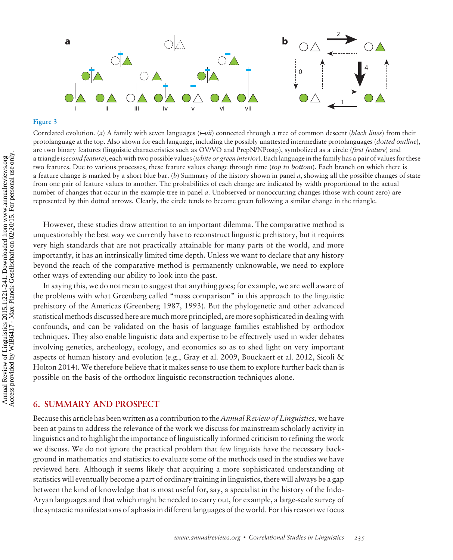

#### Figure 3

Correlated evolution. (a) A family with seven languages  $(i-vii)$  connected through a tree of common descent (black lines) from their protolanguage at the top. Also shown for each language, including the possibly unattested intermediate protolanguages (*dotted outline*), are two binary features (linguistic characteristics such as OV/VO and PrepN/NPostp), symbolized as a circle (first feature) and a triangle (second feature), each with two possible values (white or green interior). Each language in the family has a pair of values for these two features. Due to various processes, these feature values change through time (top to bottom). Each branch on which there is a feature change is marked by a short blue bar. (b) Summary of the history shown in panel  $a$ , showing all the possible changes of state from one pair of feature values to another. The probabilities of each change are indicated by width proportional to the actual number of changes that occur in the example tree in panel a. Unobserved or nonoccurring changes (those with count zero) are represented by thin dotted arrows. Clearly, the circle tends to become green following a similar change in the triangle.

However, these studies draw attention to an important dilemma. The comparative method is unquestionably the best way we currently have to reconstruct linguistic prehistory, but it requires very high standards that are not practically attainable for many parts of the world, and more importantly, it has an intrinsically limited time depth. Unless we want to declare that any history beyond the reach of the comparative method is permanently unknowable, we need to explore other ways of extending our ability to look into the past.

In saying this, we do not mean to suggest that anything goes; for example, we are well aware of the problems with what Greenberg called "mass comparison" in this approach to the linguistic prehistory of the Americas (Greenberg 1987, 1993). But the phylogenetic and other advanced statistical methods discussed here are much more principled, are more sophisticated in dealing with confounds, and can be validated on the basis of language families established by orthodox techniques. They also enable linguistic data and expertise to be effectively used in wider debates involving genetics, archeology, ecology, and economics so as to shed light on very important aspects of human history and evolution (e.g., Gray et al. 2009, Bouckaert et al. 2012, Sicoli & Holton 2014). We therefore believe that it makes sense to use them to explore further back than is possible on the basis of the orthodox linguistic reconstruction techniques alone.

#### 6. SUMMARY AND PROSPECT

Because this article has been written as a contribution to the *Annual Review of Linguistics*, we have been at pains to address the relevance of the work we discuss for mainstream scholarly activity in linguistics and to highlight the importance of linguistically informed criticism to refining the work we discuss. We do not ignore the practical problem that few linguists have the necessary background in mathematics and statistics to evaluate some of the methods used in the studies we have reviewed here. Although it seems likely that acquiring a more sophisticated understanding of statistics will eventually become a part of ordinary training in linguistics, there will always be a gap between the kind of knowledge that is most useful for, say, a specialist in the history of the Indo-Aryan languages and that which might be needed to carry out, for example, a large-scale survey of the syntactic manifestations of aphasia in different languages of the world. For this reason we focus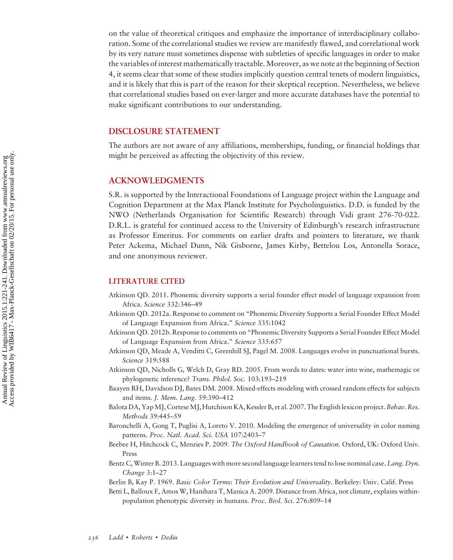on the value of theoretical critiques and emphasize the importance of interdisciplinary collaboration. Some of the correlational studies we review are manifestly flawed, and correlational work by its very nature must sometimes dispense with subtleties of specific languages in order to make the variables of interest mathematically tractable. Moreover, as we note at the beginning of Section 4, it seems clear that some of these studies implicitly question central tenets of modern linguistics, and it is likely that this is part of the reason for their skeptical reception. Nevertheless, we believe that correlational studies based on ever-larger and more accurate databases have the potential to make significant contributions to our understanding.

#### DISCLOSURE STATEMENT

The authors are not aware of any affiliations, memberships, funding, or financial holdings that might be perceived as affecting the objectivity of this review.

#### ACKNOWLEDGMENTS

S.R. is supported by the Interactional Foundations of Language project within the Language and Cognition Department at the Max Planck Institute for Psycholinguistics. D.D. is funded by the NWO (Netherlands Organisation for Scientific Research) through Vidi grant 276-70-022. D.R.L. is grateful for continued access to the University of Edinburgh's research infrastructure as Professor Emeritus. For comments on earlier drafts and pointers to literature, we thank Peter Ackema, Michael Dunn, Nik Gisborne, James Kirby, Bettelou Los, Antonella Sorace, and one anonymous reviewer.

#### LITERATURE CITED

- Atkinson QD. 2011. Phonemic diversity supports a serial founder effect model of language expansion from Africa. Science 332:346–49
- Atkinson QD. 2012a. Response to comment on "Phonemic Diversity Supports a Serial Founder Effect Model of Language Expansion from Africa." Science 335:1042
- Atkinson QD. 2012b. Response to comments on "Phonemic Diversity Supports a Serial Founder Effect Model of Language Expansion from Africa." Science 335:657
- Atkinson QD, Meade A, Venditti C, Greenhill SJ, Pagel M. 2008. Languages evolve in punctuational bursts. Science 319:588
- Atkinson QD, Nicholls G, Welch D, Gray RD. 2005. From words to dates: water into wine, mathemagic or phylogenetic inference? Trans. Philol. Soc. 103:193–219
- Baayen RH, Davidson DJ, Bates DM. 2008. Mixed-effects modeling with crossed random effects for subjects and items. J. Mem. Lang. 59:390–412
- Balota DA, Yap MJ, Cortese MJ, Hutchison KA, Kessler B, et al. 2007. The English lexicon project. Behav. Res. Methods 39:445–59
- Baronchelli A, Gong T, Puglisi A, Loreto V. 2010. Modeling the emergence of universality in color naming patterns. Proc. Natl. Acad. Sci. USA 107:2403–7
- Beebee H, Hitchcock C, Menzies P. 2009. The Oxford Handbook of Causation. Oxford, UK: Oxford Univ. Press
- Bentz C, Winter B. 2013. Languages with more second language learners tend to lose nominal case. Lang. Dyn. Change 3:1–27
- Berlin B, Kay P. 1969. Basic Color Terms: Their Evolution and Universality. Berkeley: Univ. Calif. Press
- Betti L, Balloux F, Amos W, Hanihara T, Manica A. 2009. Distance from Africa, not climate, explains withinpopulation phenotypic diversity in humans. Proc. Biol. Sci. 276:809–14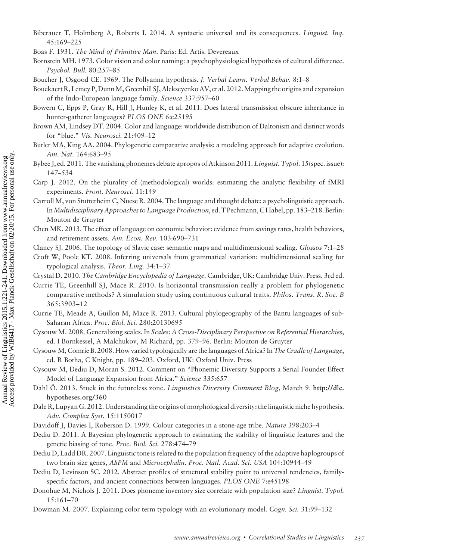- Biberauer T, Holmberg A, Roberts I. 2014. A syntactic universal and its consequences. Linguist. Inq. 45:169–225
- Boas F. 1931. The Mind of Primitive Man. Paris: Ed. Artis. Devereaux
- Bornstein MH. 1973. Color vision and color naming: a psychophysiological hypothesis of cultural difference. Psychol. Bull. 80:257–85
- Boucher J, Osgood CE. 1969. The Pollyanna hypothesis. J. Verbal Learn. Verbal Behav. 8:1–8
- Bouckaert R, Lemey P, Dunn M, Greenhill SJ, Alekseyenko AV, et al. 2012. Mapping the origins and expansion of the Indo-European language family. Science 337:957–60
- Bowern C, Epps P, Gray R, Hill J, Hunley K, et al. 2011. Does lateral transmission obscure inheritance in hunter-gatherer languages? PLOS ONE 6:e25195
- Brown AM, Lindsey DT. 2004. Color and language: worldwide distribution of Daltonism and distinct words for "blue." Vis. Neurosci. 21:409–12
- Butler MA, King AA. 2004. Phylogenetic comparative analysis: a modeling approach for adaptive evolution. Am. Nat. 164:683–95
- Bybee J, ed. 2011. The vanishing phonemes debate apropos of Atkinson 2011. Linguist. Typol. 15(spec. issue): 147–534
- Carp J. 2012. On the plurality of (methodological) worlds: estimating the analytic flexibility of fMRI experiments. Front. Neurosci. 11:149
- Carroll M, von Stutterheim C, Nuese R. 2004. The language and thought debate: a psycholinguistic approach. In Multidisciplinary Approaches to Language Production, ed. T Pechmann, C Habel, pp. 183–218. Berlin: Mouton de Gruyter
- Chen MK. 2013. The effect of language on economic behavior: evidence from savings rates, health behaviors, and retirement assets. Am. Econ. Rev. 103:690–731
- Clancy SJ. 2006. The topology of Slavic case: semantic maps and multidimensional scaling. Glossos 7:1–28
- Croft W, Poole KT. 2008. Inferring universals from grammatical variation: multidimensional scaling for typological analysis. Theor. Ling. 34:1–37
- Crystal D. 2010. The Cambridge Encyclopedia of Language. Cambridge, UK: Cambridge Univ. Press. 3rd ed.
- Currie TE, Greenhill SJ, Mace R. 2010. Is horizontal transmission really a problem for phylogenetic comparative methods? A simulation study using continuous cultural traits. Philos. Trans. R. Soc. B 365:3903–12
- Currie TE, Meade A, Guillon M, Mace R. 2013. Cultural phylogeography of the Bantu languages of sub-Saharan Africa. Proc. Biol. Sci. 280:20130695
- Cysouw M. 2008. Generalizing scales. In Scales: A Cross-Disciplinary Perspective on Referential Hierarchies, ed. I Bornkessel, A Malchukov, M Richard, pp. 379–96. Berlin: Mouton de Gruyter
- CysouwM, Comrie B. 2008. How varied typologically are the languages of Africa? InThe Cradle of Language, ed. R Botha, C Knight, pp. 189–203. Oxford, UK: Oxford Univ. Press
- Cysouw M, Dediu D, Moran S. 2012. Comment on "Phonemic Diversity Supports a Serial Founder Effect Model of Language Expansion from Africa." Science 335:657
- Dahl Ö. 2013. Stuck in the futureless zone. Linguistics Diversity Comment Blog, March 9. [http://dlc.](http://dlc.hypotheses.org/360) [hypotheses.org/360](http://dlc.hypotheses.org/360)
- Dale R, Lupyan G. 2012. Understanding the origins of morphological diversity: the linguistic niche hypothesis. Adv. Complex Syst. 15:1150017
- Davidoff J, Davies I, Roberson D. 1999. Colour categories in a stone-age tribe. Nature 398:203–4
- Dediu D. 2011. A Bayesian phylogenetic approach to estimating the stability of linguistic features and the genetic biasing of tone. Proc. Biol. Sci. 278:474–79
- Dediu D, Ladd DR. 2007. Linguistic tone is related to the population frequency of the adaptive haplogroups of two brain size genes, ASPM and Microcephalin. Proc. Natl. Acad. Sci. USA 104:10944–49
- Dediu D, Levinson SC. 2012. Abstract profiles of structural stability point to universal tendencies, familyspecific factors, and ancient connections between languages. PLOS ONE 7:e45198
- Donohue M, Nichols J. 2011. Does phoneme inventory size correlate with population size? Linguist. Typol. 15:161–70
- Dowman M. 2007. Explaining color term typology with an evolutionary model. Cogn. Sci. 31:99–132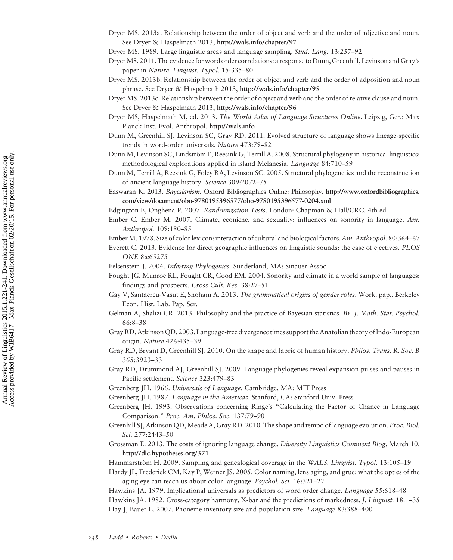Dryer MS. 2013a. Relationship between the order of object and verb and the order of adjective and noun. See Dryer & Haspelmath 2013, <http://wals.info/chapter/97>

Dryer MS. 1989. Large linguistic areas and language sampling. Stud. Lang. 13:257–92

DryerMS. 2011. The evidence for word order correlations: a response to Dunn, Greenhill, Levinson and Gray's paper in Nature. Linguist. Typol. 15:335–80

- Dryer MS. 2013b. Relationship between the order of object and verb and the order of adposition and noun phrase. See Dryer & Haspelmath 2013, <http://wals.info/chapter/95>
- Dryer MS. 2013c. Relationship between the order of object and verb and the order of relative clause and noun. See Dryer & Haspelmath 2013, <http://wals.info/chapter/96>
- Dryer MS, Haspelmath M, ed. 2013. The World Atlas of Language Structures Online. Leipzig, Ger.: Max Planck Inst. Evol. Anthropol. <http://wals.info>
- Dunn M, Greenhill SJ, Levinson SC, Gray RD. 2011. Evolved structure of language shows lineage-specific trends in word-order universals. Nature 473:79–82
- Dunn M, Levinson SC, Lindström E, Reesink G, Terrill A. 2008. Structural phylogeny in historical linguistics: methodological explorations applied in island Melanesia. Language 84:710–59
- Dunn M, Terrill A, Reesink G, Foley RA, Levinson SC. 2005. Structural phylogenetics and the reconstruction of ancient language history. Science 309:2072–75
- Easwaran K. 2013. Bayesianism. Oxford Bibliographies Online: Philosophy. [http://www.oxfordbibliographies.](http://www.oxfordbibliographies.com/view/document/obo-9780195396577/obo-9780195396577-0204.xml) [com/view/document/obo-9780195396577/obo-9780195396577-0204.xml](http://www.oxfordbibliographies.com/view/document/obo-9780195396577/obo-9780195396577-0204.xml)
- Edgington E, Onghena P. 2007. Randomization Tests. London: Chapman & Hall/CRC. 4th ed.
- Ember C, Ember M. 2007. Climate, econiche, and sexuality: influences on sonority in language. Am. Anthropol. 109:180–85
- EmberM. 1978. Size of color lexicon: interaction of cultural and biological factors. Am. Anthropol. 80:364–67
- Everett C. 2013. Evidence for direct geographic influences on linguistic sounds: the case of ejectives. PLOS ONE 8:e65275

Felsenstein J. 2004. Inferring Phylogenies. Sunderland, MA: Sinauer Assoc.

- Fought JG, Munroe RL, Fought CR, Good EM. 2004. Sonority and climate in a world sample of languages: findings and prospects. Cross-Cult. Res. 38:27–51
- Gay V, Santacreu-Vasut E, Shoham A. 2013. The grammatical origins of gender roles. Work. pap., Berkeley Econ. Hist. Lab. Pap. Ser.
- Gelman A, Shalizi CR. 2013. Philosophy and the practice of Bayesian statistics. Br. J. Math. Stat. Psychol. 66:8–38
- Gray RD, Atkinson QD. 2003. Language-tree divergence times support the Anatolian theory of Indo-European origin. Nature 426:435–39
- Gray RD, Bryant D, Greenhill SJ. 2010. On the shape and fabric of human history. Philos. Trans. R. Soc. B 365:3923–33
- Gray RD, Drummond AJ, Greenhill SJ. 2009. Language phylogenies reveal expansion pulses and pauses in Pacific settlement. Science 323:479–83
- Greenberg JH. 1966. Universals of Language. Cambridge, MA: MIT Press
- Greenberg JH. 1987. Language in the Americas. Stanford, CA: Stanford Univ. Press
- Greenberg JH. 1993. Observations concerning Ringe's "Calculating the Factor of Chance in Language Comparison." Proc. Am. Philos. Soc. 137:79–90
- Greenhill SJ, Atkinson QD, Meade A, Gray RD. 2010. The shape and tempo of language evolution. Proc. Biol. Sci. 277:2443–50

Grossman E. 2013. The costs of ignoring language change. Diversity Linguistics Comment Blog, March 10. <http://dlc.hypotheses.org/371>

Hammarström H. 2009. Sampling and genealogical coverage in the WALS. Linguist. Typol. 13:105–19

Hardy JL, Frederick CM, Kay P, Werner JS. 2005. Color naming, lens aging, and grue: what the optics of the aging eye can teach us about color language. Psychol. Sci. 16:321–27

Hawkins JA. 1979. Implicational universals as predictors of word order change. Language 55:618–48

Hawkins JA. 1982. Cross-category harmony, X-bar and the predictions of markedness. J. Linguist. 18:1–35 Hay J, Bauer L. 2007. Phoneme inventory size and population size. *Language* 83:388–400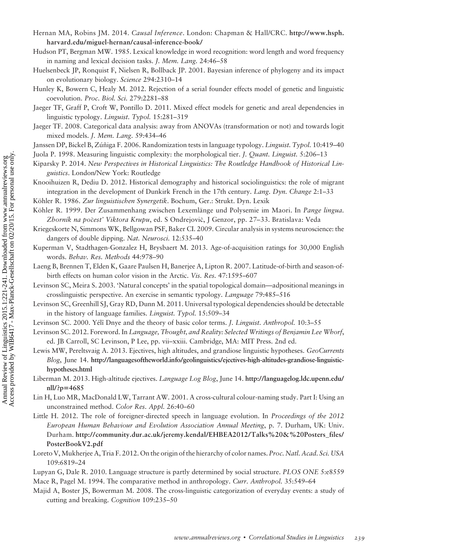- Hernan MA, Robins JM. 2014. Causal Inference. London: Chapman & Hall/CRC. [http://www.hsph.](http://www.hsph.harvard.edu/miguel-hernan/causal-inference-book/) [harvard.edu/miguel-hernan/causal-inference-book/](http://www.hsph.harvard.edu/miguel-hernan/causal-inference-book/)
- Hudson PT, Bergman MW. 1985. Lexical knowledge in word recognition: word length and word frequency in naming and lexical decision tasks. J. Mem. Lang. 24:46–58
- Huelsenbeck JP, Ronquist F, Nielsen R, Bollback JP. 2001. Bayesian inference of phylogeny and its impact on evolutionary biology. Science 294:2310–14
- Hunley K, Bowern C, Healy M. 2012. Rejection of a serial founder effects model of genetic and linguistic coevolution. Proc. Biol. Sci. 279:2281–88
- Jaeger TF, Graff P, Croft W, Pontillo D. 2011. Mixed effect models for genetic and areal dependencies in linguistic typology. Linguist. Typol. 15:281–319
- Jaeger TF. 2008. Categorical data analysis: away from ANOVAs (transformation or not) and towards logit mixed models. J. Mem. Lang. 59:434–46
- Janssen DP, Bickel B, Zúñiga F. 2006. Randomization tests in language typology. Linguist. Typol. 10:419–40 Juola P. 1998. Measuring linguistic complexity: the morphological tier. J. Quant. Linguist. 5:206–13
- Kiparsky P. 2014. New Perspectives in Historical Linguistics: The Routledge Handbook of Historical Linguistics. London/New York: Routledge
- Knooihuizen R, Dediu D. 2012. Historical demography and historical sociolinguistics: the role of migrant integration in the development of Dunkirk French in the 17th century. Lang. Dyn. Change 2:1–33
- Köhler R. 1986. Zur linguistischen Synergetik. Bochum, Ger.: Strukt. Dyn. Lexik
- Köhler R. 1999. Der Zusammenhang zwischen Lexemlänge und Polysemie im Maori. In Pange lingua. Zborník na počesť Viktora Krupu, ed. S Ondrejovič, J Genzor, pp. 27–33. Bratislava: Veda
- Kriegeskorte N, Simmons WK, Bellgowan PSF, Baker CI. 2009. Circular analysis in systems neuroscience: the dangers of double dipping. Nat. Neurosci. 12:535–40
- Kuperman V, Stadthagen-Gonzalez H, Brysbaert M. 2013. Age-of-acquisition ratings for 30,000 English words. Behav. Res. Methods 44:978–90
- Laeng B, Brennen T, Elden K, Gaare Paulsen H, Banerjee A, Lipton R. 2007. Latitude-of-birth and season-ofbirth effects on human color vision in the Arctic. Vis. Res. 47:1595–607
- Levinson SC, Meira S. 2003. 'Natural concepts' in the spatial topological domain—adpositional meanings in crosslinguistic perspective. An exercise in semantic typology. Language 79:485–516
- Levinson SC, Greenhill SJ, Gray RD, Dunn M. 2011. Universal typological dependencies should be detectable in the history of language families. Linguist. Typol. 15:509–34
- Levinson SC. 2000. Yélî Dnye and the theory of basic color terms. J. Linguist. Anthropol. 10:3–55
- Levinson SC. 2012. Foreword. In Language, Thought, and Reality: Selected Writings of Benjamin Lee Whorf, ed. JB Carroll, SC Levinson, P Lee, pp. vii–xxiii. Cambridge, MA: MIT Press. 2nd ed.
- Lewis MW, Pereltsvaig A. 2013. Ejectives, high altitudes, and grandiose linguistic hypotheses. GeoCurrents Blog, June 14. [http://languagesoftheworld.info/geolinguistics/ejectives-high-altitudes-grandiose-linguistic](http://languagesoftheworld.info/geolinguistics/ejectives-high-altitudes-grandiose-linguistic-hypotheses.html)[hypotheses.html](http://languagesoftheworld.info/geolinguistics/ejectives-high-altitudes-grandiose-linguistic-hypotheses.html)
- Liberman M. 2013. High-altitude ejectives. Language Log Blog, June 14. [http://languagelog.ldc.upenn.edu/](http://languagelog.ldc.upenn.edu/nll/?p=4685)  $nll/?p=4685$  $nll/?p=4685$  $nll/?p=4685$
- Lin H, Luo MR, MacDonald LW, Tarrant AW. 2001. A cross-cultural colour-naming study. Part I: Using an unconstrained method. Color Res. Appl. 26:40–60
- Little H. 2012. The role of foreigner-directed speech in language evolution. In Proceedings of the 2012 European Human Behaviour and Evolution Association Annual Meeting, p. 7. Durham, UK: Univ. Durham. [http://community.dur.ac.uk/jeremy.kendal/EHBEA2012/Talks%20&%20Posters\\_files/](http://community.dur.ac.uk/jeremy.kendal/EHBEA2012/Talks%20%26%20Posters_files/PosterBookV2.pdf) [PosterBookV2.pdf](http://community.dur.ac.uk/jeremy.kendal/EHBEA2012/Talks%20%26%20Posters_files/PosterBookV2.pdf)
- Loreto V, Mukherjee A, Tria F. 2012. On the origin of the hierarchy of color names. Proc. Natl. Acad. Sci. USA 109:6819–24
- Lupyan G, Dale R. 2010. Language structure is partly determined by social structure. PLOS ONE 5:e8559 Mace R, Pagel M. 1994. The comparative method in anthropology. Curr. Anthropol. 35:549–64
- Majid A, Boster JS, Bowerman M. 2008. The cross-linguistic categorization of everyday events: a study of cutting and breaking. Cognition 109:235–50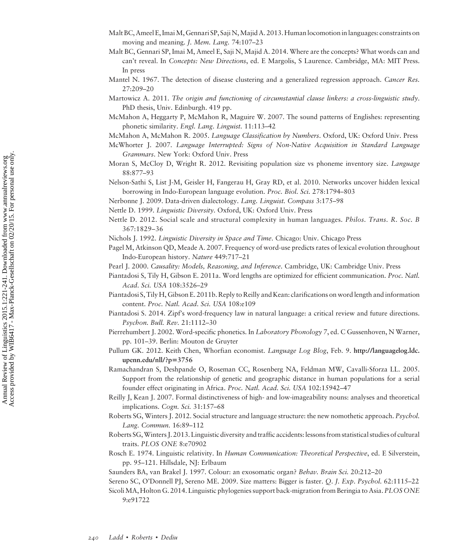- Malt BC, Ameel E, Imai M, Gennari SP, Saji N, Majid A. 2013. Human locomotion in languages: constraints on moving and meaning. J. Mem. Lang. 74:107–23
- Malt BC, Gennari SP, Imai M, Ameel E, Saji N, Majid A. 2014. Where are the concepts? What words can and can't reveal. In Concepts: New Directions, ed. E Margolis, S Laurence. Cambridge, MA: MIT Press. In press
- Mantel N. 1967. The detection of disease clustering and a generalized regression approach. Cancer Res. 27:209–20
- Martowicz A. 2011. The origin and functioning of circumstantial clause linkers: a cross-linguistic study. PhD thesis, Univ. Edinburgh. 419 pp.
- McMahon A, Heggarty P, McMahon R, Maguire W. 2007. The sound patterns of Englishes: representing phonetic similarity. Engl. Lang. Linguist. 11:113–42

McMahon A, McMahon R. 2005. Language Classification by Numbers. Oxford, UK: Oxford Univ. Press

McWhorter J. 2007. Language Interrupted: Signs of Non-Native Acquisition in Standard Language Grammars. New York: Oxford Univ. Press

- Moran S, McCloy D, Wright R. 2012. Revisiting population size vs phoneme inventory size. Language 88:877–93
- Nelson-Sathi S, List J-M, Geisler H, Fangerau H, Gray RD, et al. 2010. Networks uncover hidden lexical borrowing in Indo-European language evolution. Proc. Biol. Sci. 278:1794–803
- Nerbonne J. 2009. Data-driven dialectology. Lang. Linguist. Compass 3:175–98
- Nettle D. 1999. Linguistic Diversity. Oxford, UK: Oxford Univ. Press
- Nettle D. 2012. Social scale and structural complexity in human languages. Philos. Trans. R. Soc. B 367:1829–36
- Nichols J. 1992. Linguistic Diversity in Space and Time. Chicago: Univ. Chicago Press

Pagel M, Atkinson QD, Meade A. 2007. Frequency of word-use predicts rates of lexical evolution throughout Indo-European history. Nature 449:717–21

Pearl J. 2000. Causality: Models, Reasoning, and Inference. Cambridge, UK: Cambridge Univ. Press

- Piantadosi S, Tily H, Gibson E. 2011a. Word lengths are optimized for efficient communication. Proc. Natl. Acad. Sci. USA 108:3526–29
- Piantadosi S, Tily H, Gibson E. 2011b. Reply to Reilly and Kean: clarifications on word length and information content. Proc. Natl. Acad. Sci. USA 108:e109
- Piantadosi S. 2014. Zipf's word-frequency law in natural language: a critical review and future directions. Psychon. Bull. Rev. 21:1112–30
- Pierrehumbert J. 2002. Word-specific phonetics. In Laboratory Phonology 7, ed. C Gussenhoven, N Warner, pp. 101–39. Berlin: Mouton de Gruyter
- Pullum GK. 2012. Keith Chen, Whorfian economist. Language Log Blog, Feb. 9. [http://languagelog.ldc.](http://languagelog.ldc.upenn.edu/nll/?p=3756) upenn.edu/nll/? $p=3756$  $p=3756$
- Ramachandran S, Deshpande O, Roseman CC, Rosenberg NA, Feldman MW, Cavalli-Sforza LL. 2005. Support from the relationship of genetic and geographic distance in human populations for a serial founder effect originating in Africa. Proc. Natl. Acad. Sci. USA 102:15942–47
- Reilly J, Kean J. 2007. Formal distinctiveness of high- and low-imageability nouns: analyses and theoretical implications. Cogn. Sci. 31:157–68
- Roberts SG, Winters J. 2012. Social structure and language structure: the new nomothetic approach. Psychol. Lang. Commun. 16:89–112
- Roberts SG,Winters J. 2013. Linguistic diversity and traffic accidents: lessons from statistical studies of cultural traits. PLOS ONE 8:e70902
- Rosch E. 1974. Linguistic relativity. In Human Communication: Theoretical Perspective, ed. E Silverstein, pp. 95–121. Hillsdale, NJ: Erlbaum
- Saunders BA, van Brakel J. 1997. Colour: an exosomatic organ? Behav. Brain Sci. 20:212–20
- Sereno SC, O'Donnell PJ, Sereno ME. 2009. Size matters: Bigger is faster. Q. J. Exp. Psychol. 62:1115–22
- SicoliMA, Holton G. 2014. Linguistic phylogenies support back-migration from Beringia to Asia. PLOS ONE 9:e91722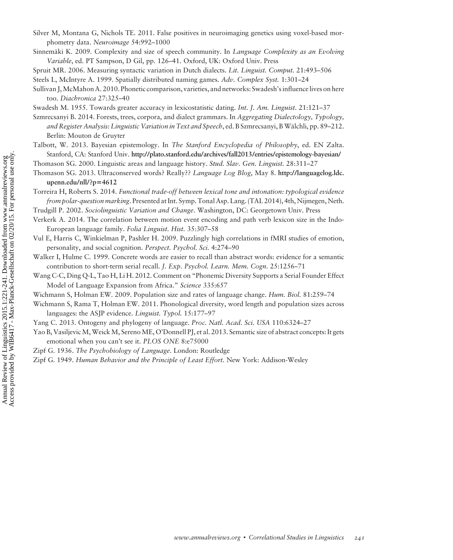- Silver M, Montana G, Nichols TE. 2011. False positives in neuroimaging genetics using voxel-based morphometry data. Neuroimage 54:992–1000
- Sinnemäki K. 2009. Complexity and size of speech community. In Language Complexity as an Evolving Variable, ed. PT Sampson, D Gil, pp. 126–41. Oxford, UK: Oxford Univ. Press
- Spruit MR. 2006. Measuring syntactic variation in Dutch dialects. Lit. Linguist. Comput. 21:493–506
- Steels L, McIntyre A. 1999. Spatially distributed naming games. Adv. Complex Syst. 1:301–24
- Sullivan J,McMahon A. 2010. Phonetic comparison, varieties, and networks: Swadesh's influence lives on here too. Diachronica 27:325–40
- Swadesh M. 1955. Towards greater accuracy in lexicostatistic dating. Int. J. Am. Linguist. 21:121–37
- Szmrecsanyi B. 2014. Forests, trees, corpora, and dialect grammars. In Aggregating Dialectology, Typology, and Register Analysis: Linguistic Variation in Text and Speech, ed. B Szmrecsanyi, B Wälchli, pp. 89–212. Berlin: Mouton de Gruyter
- Talbott, W. 2013. Bayesian epistemology. In The Stanford Encyclopedia of Philosophy, ed. EN Zalta. Stanford, CA: Stanford Univ. <http://plato.stanford.edu/archives/fall2013/entries/epistemology-bayesian/>
- Thomason SG. 2000. Linguistic areas and language history. Stud. Slav. Gen. Linguist. 28:311–27
- Thomason SG. 2013. Ultraconserved words? Really?? Language Log Blog, May 8. [http://languagelog.ldc.](http://languagelog.ldc.upenn.edu/nll/?p=4612) upenn.edu/nll/? $p=4612$  $p=4612$
- Torreira H, Roberts S. 2014. Functional trade-off between lexical tone and intonation: typological evidence from polar-question marking. Presented at Int. Symp. Tonal Asp. Lang. (TAL 2014), 4th, Nijmegen, Neth.
- Trudgill P. 2002. Sociolinguistic Variation and Change. Washington, DC: Georgetown Univ. Press
- Verkerk A. 2014. The correlation between motion event encoding and path verb lexicon size in the Indo-European language family. Folia Linguist. Hist. 35:307–58
- Vul E, Harris C, Winkielman P, Pashler H. 2009. Puzzlingly high correlations in fMRI studies of emotion, personality, and social cognition. Perspect. Psychol. Sci. 4:274–90
- Walker I, Hulme C. 1999. Concrete words are easier to recall than abstract words: evidence for a semantic contribution to short-term serial recall. *J. Exp. Psychol. Learn. Mem. Cogn.* 25:1256-71
- Wang C-C, Ding Q-L, Tao H, Li H. 2012. Comment on "Phonemic Diversity Supports a Serial Founder Effect Model of Language Expansion from Africa." Science 335:657
- Wichmann S, Holman EW. 2009. Population size and rates of language change. *Hum. Biol.* 81:259–74
- Wichmann S, Rama T, Holman EW. 2011. Phonological diversity, word length and population sizes across languages: the ASJP evidence. Linguist. Typol. 15:177-97
- Yang C. 2013. Ontogeny and phylogeny of language. Proc. Natl. Acad. Sci. USA 110:6324–27
- Yao B, Vasiljevic M, WeickM, Sereno ME, O'Donnell PJ, et al. 2013. Semantic size of abstract concepts: It gets emotional when you can't see it. PLOS ONE 8:e75000
- Zipf G. 1936. The Psychobiology of Language. London: Routledge
- Zipf G. 1949. Human Behavior and the Principle of Least Effort. New York: Addison-Wesley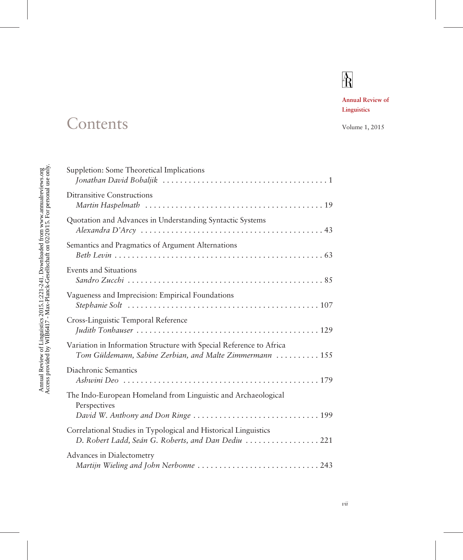# $\overline{\mathbf{R}}$

Annual Review of **Linguistics** 

# Contents Volume 1, 2015

| Suppletion: Some Theoretical Implications                                                                                       |
|---------------------------------------------------------------------------------------------------------------------------------|
| <b>Ditransitive Constructions</b>                                                                                               |
| Quotation and Advances in Understanding Syntactic Systems                                                                       |
| Semantics and Pragmatics of Argument Alternations                                                                               |
| Events and Situations                                                                                                           |
| Vagueness and Imprecision: Empirical Foundations                                                                                |
| Cross-Linguistic Temporal Reference                                                                                             |
| Variation in Information Structure with Special Reference to Africa<br>Tom Güldemann, Sabine Zerbian, and Malte Zimmermann  155 |
| Diachronic Semantics                                                                                                            |
| The Indo-European Homeland from Linguistic and Archaeological<br>Perspectives<br>David W. Anthony and Don Ringe  199            |
| Correlational Studies in Typological and Historical Linguistics<br>D. Robert Ladd, Seán G. Roberts, and Dan Dediu  221          |
| Advances in Dialectometry                                                                                                       |
|                                                                                                                                 |